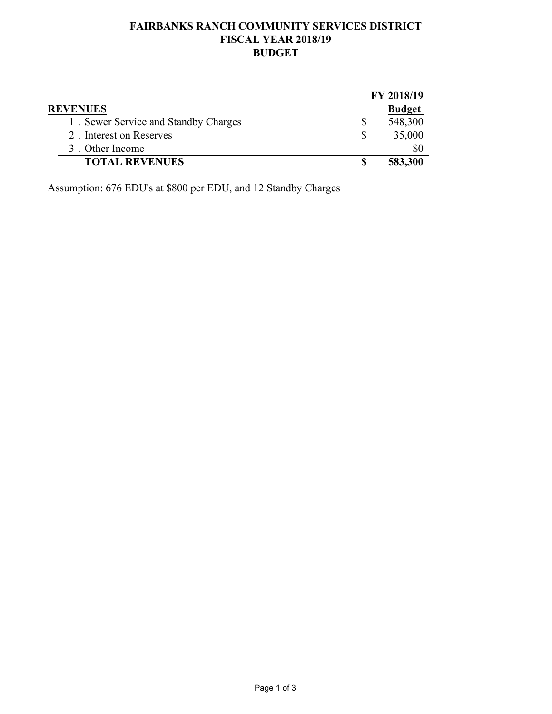## **FAIRBANKS RANCH COMMUNITY SERVICES DISTRICT FISCAL YEAR 2018/19 BUDGET**

|                                      | FY 2018/19 |               |
|--------------------------------------|------------|---------------|
| <b>REVENUES</b>                      |            | <b>Budget</b> |
| 1. Sewer Service and Standby Charges |            | 548,300       |
| 2. Interest on Reserves              |            | 35,000        |
| 3. Other Income                      |            | \$0           |
| <b>TOTAL REVENUES</b>                |            | 583,300       |

Assumption: 676 EDU's at \$800 per EDU, and 12 Standby Charges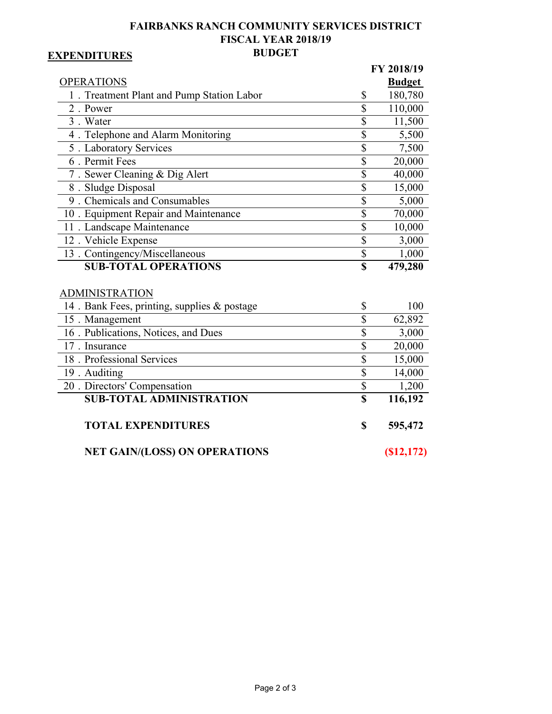## **FAIRBANKS RANCH COMMUNITY SERVICES DISTRICT FISCAL YEAR 2018/19**

| <b>BUDGET</b><br><b>EXPENDITURES</b>         |                         |               |
|----------------------------------------------|-------------------------|---------------|
|                                              |                         | FY 2018/19    |
| <b>OPERATIONS</b>                            |                         | <b>Budget</b> |
| 1. Treatment Plant and Pump Station Labor    | \$                      | 180,780       |
| 2. Power                                     | $\overline{\$}$         | 110,000       |
| 3. Water                                     | $\overline{\$}$         | 11,500        |
| 4. Telephone and Alarm Monitoring            | $\overline{\$}$         | 5,500         |
| 5 . Laboratory Services                      | $\overline{\mathbb{S}}$ | 7,500         |
| 6. Permit Fees                               | $\overline{\$}$         | 20,000        |
| 7. Sewer Cleaning & Dig Alert                | \$                      | 40,000        |
| 8. Sludge Disposal                           | \$                      | 15,000        |
| 9. Chemicals and Consumables                 | \$                      | 5,000         |
| 10 . Equipment Repair and Maintenance        | \$                      | 70,000        |
| 11 . Landscape Maintenance                   | \$                      | 10,000        |
| 12. Vehicle Expense                          | \$                      | 3,000         |
| 13 . Contingency/Miscellaneous               | $\overline{\$}$         | 1,000         |
| <b>SUB-TOTAL OPERATIONS</b>                  | $\overline{\mathbf{s}}$ | 479,280       |
|                                              |                         |               |
| <b>ADMINISTRATION</b>                        |                         |               |
| 14 . Bank Fees, printing, supplies & postage | \$                      | 100           |
| 15. Management                               | \$                      | 62,892        |
| 16 . Publications, Notices, and Dues         | $\overline{\$}$         | 3,000         |
| 17. Insurance                                | \$                      | 20,000        |
| 18. Professional Services                    | \$                      | 15,000        |
| 19. Auditing                                 | \$                      | 14,000        |
| 20 . Directors' Compensation                 | \$                      | 1,200         |
| <b>SUB-TOTAL ADMINISTRATION</b>              | $\overline{\mathbf{s}}$ | 116,192       |
| <b>TOTAL EXPENDITURES</b>                    | \$                      | 595,472       |
| <b>NET GAIN/(LOSS) ON OPERATIONS</b>         |                         | (S12, 172)    |